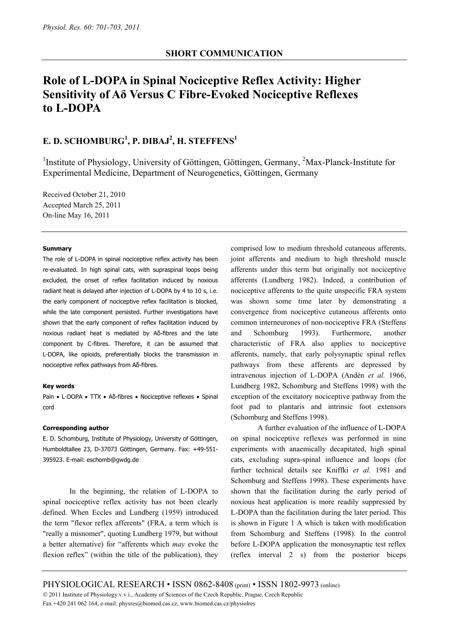# **Role of L-DOPA in Spinal Nociceptive Reflex Activity: Higher Sensitivity of Aδ Versus C Fibre-Evoked Nociceptive Reflexes to L-DOPA**

## **E. D. SCHOMBURG<sup>1</sup>, P. DIBAJ<sup>2</sup>, H. STEFFENS<sup>1</sup>**

<sup>1</sup>Institute of Physiology, University of Göttingen, Göttingen, Germany, <sup>2</sup>Max-Planck-Institute for Experimental Medicine, Department of Neurogenetics, Göttingen, Germany

Received October 21, 2010 Accepted March 25, 2011 On-line May 16, 2011

#### **Summary**

The role of L-DOPA in spinal nociceptive reflex activity has been re-evaluated. In high spinal cats, with supraspinal loops being excluded, the onset of reflex facilitation induced by noxious radiant heat is delayed after injection of L-DOPA by 4 to 10 s, i.e. the early component of nociceptive reflex facilitation is blocked, while the late component persisted. Further investigations have shown that the early component of reflex facilitation induced by noxious radiant heat is mediated by Aδ-fibres and the late component by C-fibres. Therefore, it can be assumed that L-DOPA, like opioids, preferentially blocks the transmission in nociceptive reflex pathways from Aδ-fibres.

#### **Key words**

Pain • L-DOPA • TTX • Aδ-fibres • Nociceptive reflexes • Spinal cord

#### **Corresponding author**

E. D. Schomburg, Institute of Physiology, University of Göttingen, Humboldtallee 23, D-37073 Göttingen, Germany. Fax: +49-551- 395923. E-mail: eschomb@gwdg.de

In the beginning, the relation of L-DOPA to spinal nociceptive reflex activity has not been clearly defined. When Eccles and Lundberg (1959) introduced the term "flexor reflex afferents" (FRA, a term which is "really a misnomer", quoting Lundberg 1979, but without a better alternative) for "afferents which *may* evoke the flexion reflex" (within the title of the publication), they comprised low to medium threshold cutaneous afferents, joint afferents and medium to high threshold muscle afferents under this term but originally not nociceptive afferents (Lundberg 1982). Indeed, a contribution of nociceptive afferents to the quite unspecific FRA system was shown some time later by demonstrating a convergence from nociceptive cutaneous afferents onto common interneurones of non-nociceptive FRA (Steffens and Schomburg 1993). Furthermore, another characteristic of FRA also applies to nociceptive afferents, namely, that early polysynaptic spinal reflex pathways from these afferents are depressed by intravenous injection of L-DOPA (Andén *et al.* 1966, Lundberg 1982, Schomburg and Steffens 1998) with the exception of the excitatory nociceptive pathway from the foot pad to plantaris and intrinsic foot extensors (Schomburg and Steffens 1998).

A further evaluation of the influence of L-DOPA on spinal nociceptive reflexes was performed in nine experiments with anaemically decapitated, high spinal cats, excluding supra-spinal influence and loops (for further technical details see Kniffki *et al.* 1981 and Schomburg and Steffens 1998). These experiments have shown that the facilitation during the early period of noxious heat application is more readily suppressed by L-DOPA than the facilitation during the later period. This is shown in Figure 1 A which is taken with modification from Schomburg and Steffens (1998). In the control before L-DOPA application the monosynaptic test reflex (reflex interval 2 s) from the posterior biceps

PHYSIOLOGICAL RESEARCH • ISSN 0862-8408 (print) • ISSN 1802-9973 (online)

© 2011 Institute of Physiology v.v.i., Academy of Sciences of the Czech Republic, Prague, Czech Republic

Fax +420 241 062 164, e-mail: physres@biomed.cas.cz, www.biomed.cas.cz/physiolres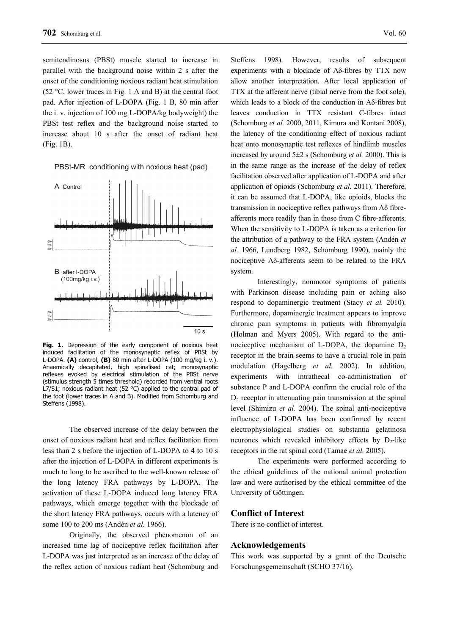semitendinosus (PBSt) muscle started to increase in parallel with the background noise within 2 s after the onset of the conditioning noxious radiant heat stimulation (52 °C, lower traces in Fig. 1 A and B) at the central foot pad. After injection of L-DOPA (Fig. 1 B, 80 min after the i. v. injection of 100 mg L-DOPA/kg bodyweight) the PBSt test reflex and the background noise started to increase about 10 s after the onset of radiant heat (Fig. 1B).

PBSt-MR conditioning with noxious heat (pad)



**Fig. 1.** Depression of the early component of noxious heat induced facilitation of the monosynaptic reflex of PBSt by L-DOPA. **(A)** control, **(B)** 80 min after L-DOPA (100 mg/kg i. v.). Anaemically decapitated, high spinalised cat; monosynaptic reflexes evoked by electrical stimulation of the PBSt nerve (stimulus strength 5 times threshold) recorded from ventral roots L7/S1; noxious radiant heat (52 °C) applied to the central pad of the foot (lower traces in A and B). Modified from Schomburg and Steffens (1998).

The observed increase of the delay between the onset of noxious radiant heat and reflex facilitation from less than 2 s before the injection of L-DOPA to 4 to 10 s after the injection of L-DOPA in different experiments is much to long to be ascribed to the well-known release of the long latency FRA pathways by L-DOPA. The activation of these L-DOPA induced long latency FRA pathways, which emerge together with the blockade of the short latency FRA pathways, occurs with a latency of some 100 to 200 ms (Andén *et al.* 1966).

Originally, the observed phenomenon of an increased time lag of nociceptive reflex facilitation after L-DOPA was just interpreted as an increase of the delay of the reflex action of noxious radiant heat (Schomburg and

Steffens 1998). However, results of subsequent experiments with a blockade of Aδ-fibres by TTX now allow another interpretation. After local application of TTX at the afferent nerve (tibial nerve from the foot sole), which leads to a block of the conduction in Aδ-fibres but leaves conduction in TTX resistant C-fibres intact (Schomburg *et al.* 2000, 2011, Kimura and Kontani 2008), the latency of the conditioning effect of noxious radiant heat onto monosynaptic test reflexes of hindlimb muscles increased by around 5±2 s (Schomburg *et al.* 2000). This is in the same range as the increase of the delay of reflex facilitation observed after application of L-DOPA and after application of opioids (Schomburg *et al.* 2011). Therefore, it can be assumed that L-DOPA, like opioids, blocks the transmission in nociceptive reflex pathways from  $A\delta$  fibreafferents more readily than in those from C fibre-afferents. When the sensitivity to L-DOPA is taken as a criterion for the attribution of a pathway to the FRA system (Andén *et al.* 1966, Lundberg 1982, Schomburg 1990), mainly the nociceptive Aδ-afferents seem to be related to the FRA system.

Interestingly, nonmotor symptoms of patients with Parkinson disease including pain or aching also respond to dopaminergic treatment (Stacy *et al.* 2010). Furthermore, dopaminergic treatment appears to improve chronic pain symptoms in patients with fibromyalgia (Holman and Myers 2005). With regard to the antinociceptive mechanism of L-DOPA, the dopamine  $D<sub>2</sub>$ receptor in the brain seems to have a crucial role in pain modulation (Hagelberg *et al.* 2002). In addition, experiments with intrathecal co-administration of substance P and L-DOPA confirm the crucial role of the  $D<sub>2</sub>$  receptor in attenuating pain transmission at the spinal level (Shimizu *et al.* 2004). The spinal anti-nociceptive influence of L-DOPA has been confirmed by recent electrophysiological studies on substantia gelatinosa neurones which revealed inhibitory effects by  $D_2$ -like receptors in the rat spinal cord (Tamae *et al.* 2005).

The experiments were performed according to the ethical guidelines of the national animal protection law and were authorised by the ethical committee of the University of Göttingen.

#### **Conflict of Interest**

There is no conflict of interest.

#### **Acknowledgements**

This work was supported by a grant of the Deutsche Forschungsgemeinschaft (SCHO 37/16).